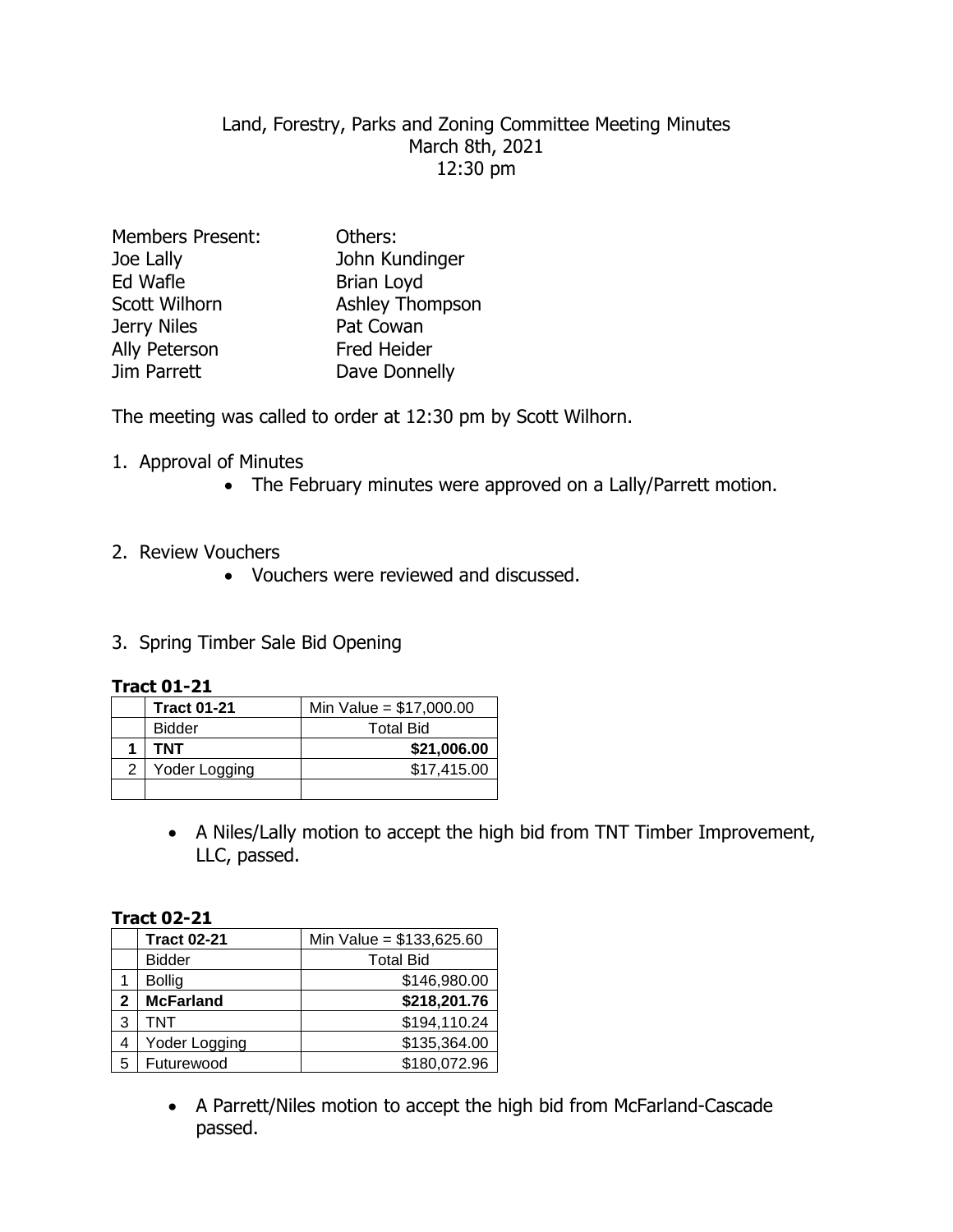# Land, Forestry, Parks and Zoning Committee Meeting Minutes March 8th, 2021 12:30 pm

| Others:            |
|--------------------|
| John Kundinger     |
| <b>Brian Loyd</b>  |
| Ashley Thompson    |
| Pat Cowan          |
| <b>Fred Heider</b> |
| Dave Donnelly      |
|                    |

The meeting was called to order at 12:30 pm by Scott Wilhorn.

- 1. Approval of Minutes
	- The February minutes were approved on a Lally/Parrett motion.
- 2. Review Vouchers
	- Vouchers were reviewed and discussed.
- 3. Spring Timber Sale Bid Opening

### **Tract 01-21**

|   | <b>Tract 01-21</b> | Min Value = $$17,000.00$ |
|---|--------------------|--------------------------|
|   | <b>Bidder</b>      | <b>Total Bid</b>         |
|   | <b>TNT</b>         | \$21,006.00              |
| 2 | Yoder Logging      | \$17,415.00              |
|   |                    |                          |

 A Niles/Lally motion to accept the high bid from TNT Timber Improvement, LLC, passed.

### **Tract 02-21**

|              | <b>Tract 02-21</b> | Min Value = $$133,625.60$ |
|--------------|--------------------|---------------------------|
|              | <b>Bidder</b>      | <b>Total Bid</b>          |
|              | <b>Bollig</b>      | \$146,980.00              |
| $\mathbf{2}$ | <b>McFarland</b>   | \$218,201.76              |
| 3            | TNT                | \$194,110.24              |
| 4            | Yoder Logging      | \$135,364.00              |
| 5            | Futurewood         | \$180,072.96              |

 A Parrett/Niles motion to accept the high bid from McFarland-Cascade passed.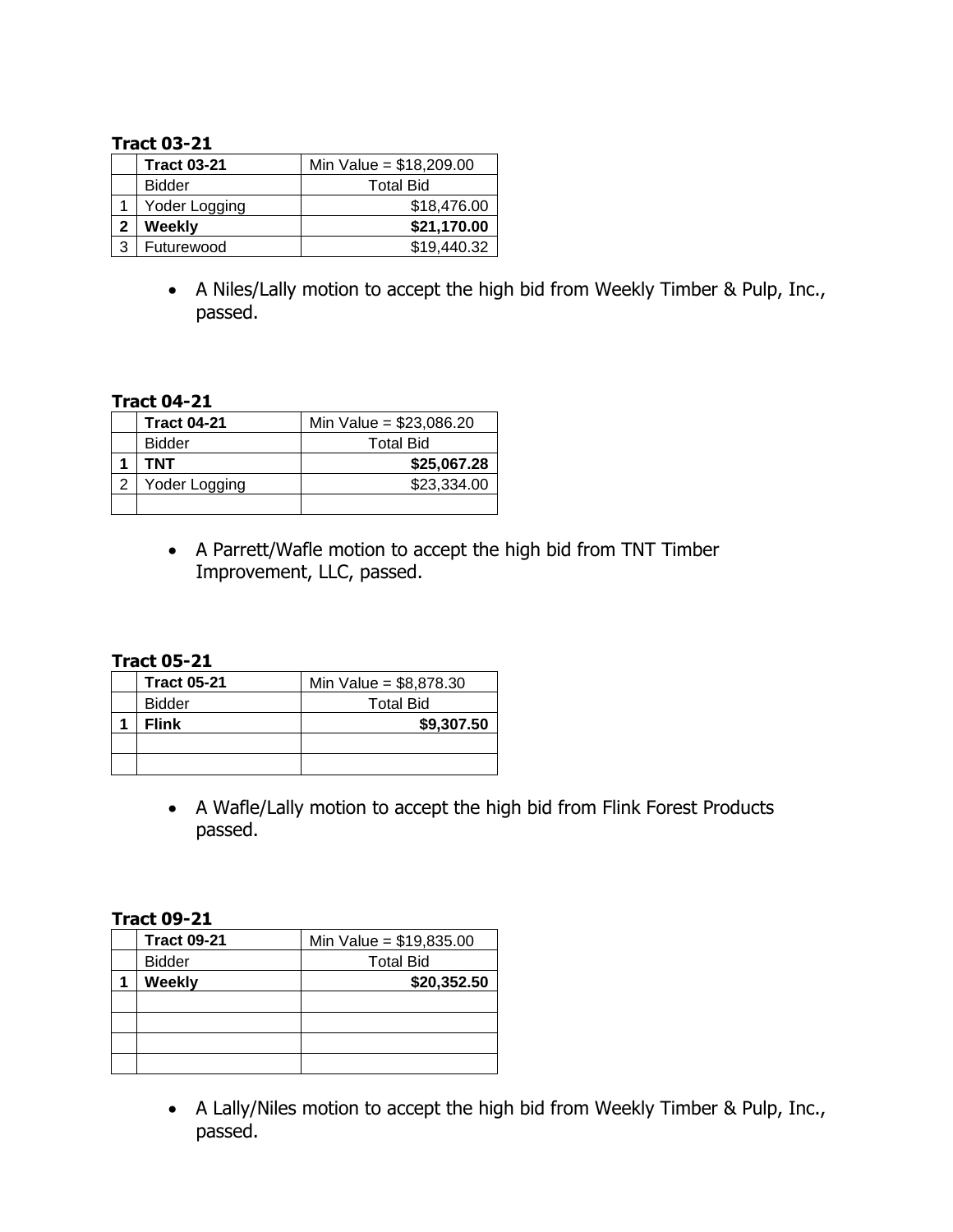## **Tract 03-21**

|   | <b>Tract 03-21</b> | Min Value = $$18,209.00$ |
|---|--------------------|--------------------------|
|   | <b>Bidder</b>      | <b>Total Bid</b>         |
|   | Yoder Logging      | \$18,476.00              |
| 2 | Weekly             | \$21,170.00              |
| ว | Futurewood         | \$19,440.32              |

 A Niles/Lally motion to accept the high bid from Weekly Timber & Pulp, Inc., passed.

# **Tract 04-21**

| <b>Tract 04-21</b> | Min Value = $$23,086.20$ |
|--------------------|--------------------------|
| <b>Bidder</b>      | <b>Total Bid</b>         |
| TNT                | \$25,067.28              |
| Yoder Logging      | \$23,334.00              |
|                    |                          |

 A Parrett/Wafle motion to accept the high bid from TNT Timber Improvement, LLC, passed.

### **Tract 05-21**

| <b>Tract 05-21</b> | Min Value = $$8,878.30$ |
|--------------------|-------------------------|
| <b>Bidder</b>      | <b>Total Bid</b>        |
| <b>Flink</b>       | \$9,307.50              |
|                    |                         |
|                    |                         |

 A Wafle/Lally motion to accept the high bid from Flink Forest Products passed.

### **Tract 09-21**

| <b>Tract 09-21</b> | Min Value = $$19,835.00$ |
|--------------------|--------------------------|
| <b>Bidder</b>      | <b>Total Bid</b>         |
| Weekly             | \$20,352.50              |
|                    |                          |
|                    |                          |
|                    |                          |
|                    |                          |

 A Lally/Niles motion to accept the high bid from Weekly Timber & Pulp, Inc., passed.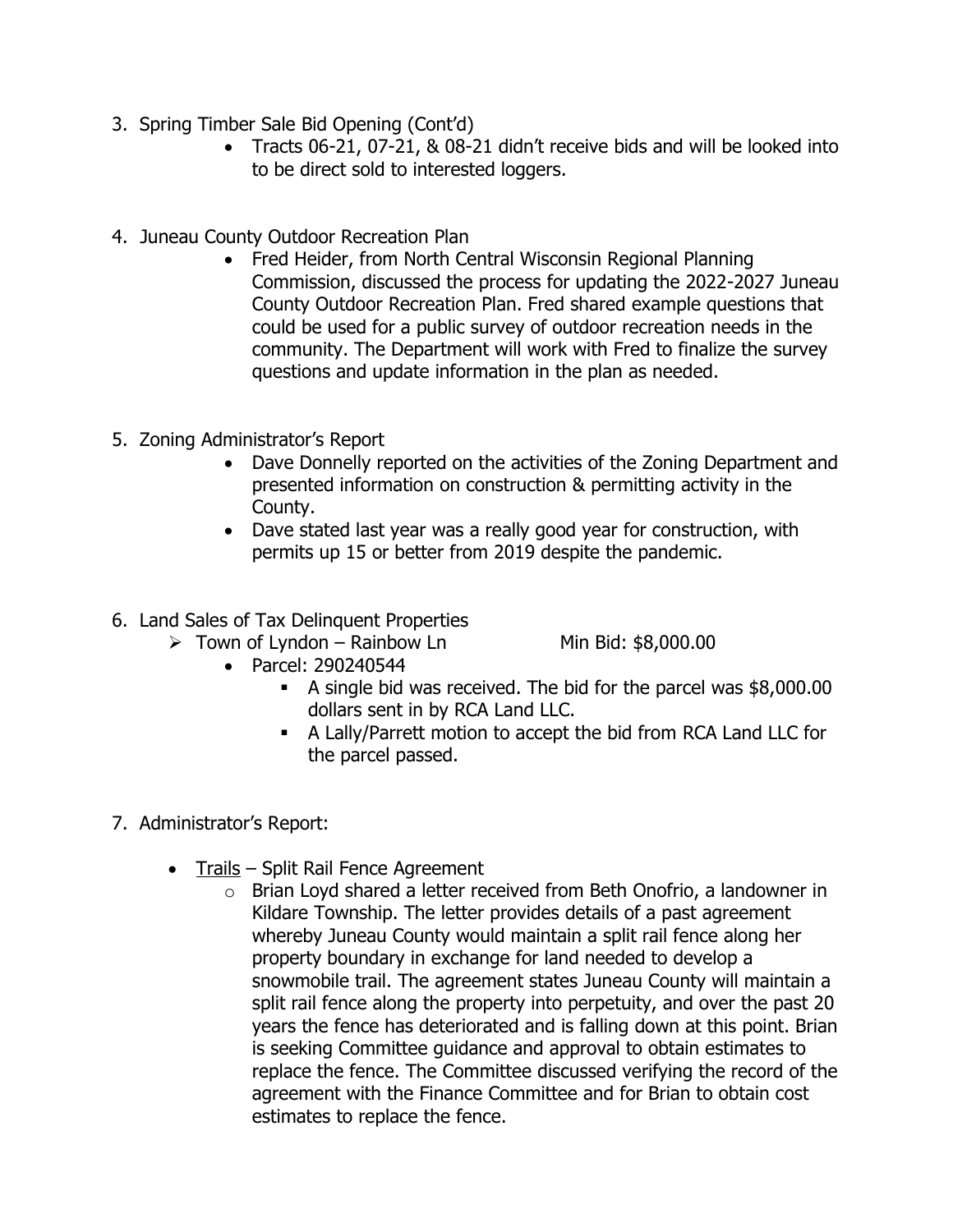- 3. Spring Timber Sale Bid Opening (Cont'd)
	- Tracts 06-21, 07-21, & 08-21 didn't receive bids and will be looked into to be direct sold to interested loggers.
- 4. Juneau County Outdoor Recreation Plan
	- Fred Heider, from North Central Wisconsin Regional Planning Commission, discussed the process for updating the 2022-2027 Juneau County Outdoor Recreation Plan. Fred shared example questions that could be used for a public survey of outdoor recreation needs in the community. The Department will work with Fred to finalize the survey questions and update information in the plan as needed.
- 5. Zoning Administrator's Report
	- Dave Donnelly reported on the activities of the Zoning Department and presented information on construction & permitting activity in the County.
	- Dave stated last year was a really good year for construction, with permits up 15 or better from 2019 despite the pandemic.
- 6. Land Sales of Tax Delinquent Properties
	- $\triangleright$  Town of Lyndon Rainbow Ln Min Bid: \$8,000.00

- Parcel: 290240544
	- A single bid was received. The bid for the parcel was \$8,000.00 dollars sent in by RCA Land LLC.
	- A Lally/Parrett motion to accept the bid from RCA Land LLC for the parcel passed.
- 7. Administrator's Report:
	- Trails Split Rail Fence Agreement
		- o Brian Loyd shared a letter received from Beth Onofrio, a landowner in Kildare Township. The letter provides details of a past agreement whereby Juneau County would maintain a split rail fence along her property boundary in exchange for land needed to develop a snowmobile trail. The agreement states Juneau County will maintain a split rail fence along the property into perpetuity, and over the past 20 years the fence has deteriorated and is falling down at this point. Brian is seeking Committee guidance and approval to obtain estimates to replace the fence. The Committee discussed verifying the record of the agreement with the Finance Committee and for Brian to obtain cost estimates to replace the fence.